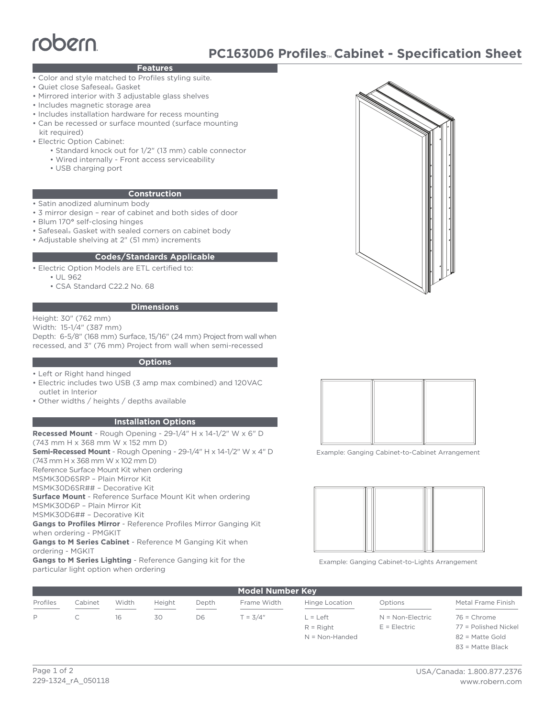# robern

# **PC1630D6 Profiles**™ **Cabinet - Specification Sheet**

## **Features**

- Color and style matched to Profiles styling suite.
- Quiet close Safeseal® Gasket
- Mirrored interior with 3 adjustable glass shelves
- Includes magnetic storage area
- Includes installation hardware for recess mounting
- Can be recessed or surface mounted (surface mounting kit required)
- Electric Option Cabinet:
	- Standard knock out for 1/2" (13 mm) cable connector
	- Wired internally Front access serviceability
	- USB charging port

#### **Construction**

- Satin anodized aluminum body
- 3 mirror design rear of cabinet and both sides of door
- Blum 170**°** self-closing hinges
- Safeseal® Gasket with sealed corners on cabinet body
- Adjustable shelving at 2" (51 mm) increments

#### **Codes/Standards Applicable**

• Electric Option Models are ETL certified to:

- UL 962
- CSA Standard C22.2 No. 68

#### **Dimensions**

Height: 30" (762 mm)

Width: 15-1/4" (387 mm)

Depth: 6-5/8" (168 mm) Surface, 15/16" (24 mm) Project from wall when recessed, and 3" (76 mm) Project from wall when semi-recessed

#### **Options**

- Left or Right hand hinged
- Electric includes two USB (3 amp max combined) and 120VAC outlet in Interior
- Other widths / heights / depths available

## **Installation Options**

**Recessed Mount** - Rough Opening - 29-1/4" H x 14-1/2" W x 6" D (743 mm H x 368 mm W x 152 mm D) **Semi-Recessed Mount** - Rough Opening - 29-1/4" H x 14-1/2" W x 4" D (743 mm H x 368 mm W x 102 mm D) Reference Surface Mount Kit when ordering MSMK30D6SRP – Plain Mirror Kit MSMK30D6SR## – Decorative Kit **Surface Mount** - Reference Surface Mount Kit when ordering MSMK30D6P – Plain Mirror Kit MSMK30D6## – Decorative Kit **Gangs to Profiles Mirror** - Reference Profiles Mirror Ganging Kit when ordering - PMGKIT

**Gangs to M Series Cabinet** - Reference M Ganging Kit when ordering - MGKIT

**Gangs to M Series Lighting** - Reference Ganging kit for the particular light option when ordering



Example: Ganging Cabinet-to-Cabinet Arrangement



Example: Ganging Cabinet-to-Lights Arrangement

| <b>Model Number Key</b>                                |         |       |        |                |             |                |                    |                      |
|--------------------------------------------------------|---------|-------|--------|----------------|-------------|----------------|--------------------|----------------------|
| Profiles<br><b>Contract Contract Contract Contract</b> | Cabinet | Width | Height | Depth          | Frame Width | Hinge Location | Options            | Metal Frame Finish   |
| D                                                      |         | 16    | 30     | D <sub>6</sub> | $T = 3/4"$  | $L = Left$     | $N = Non-Electric$ | $76$ = Chrome        |
|                                                        |         |       |        |                |             | $R =$ Right    | $E = E$ lectric    | 77 = Polished Nickel |

N = Non-Handed

77 = Polished Nickel 82 = Matte Gold 83 = Matte Black